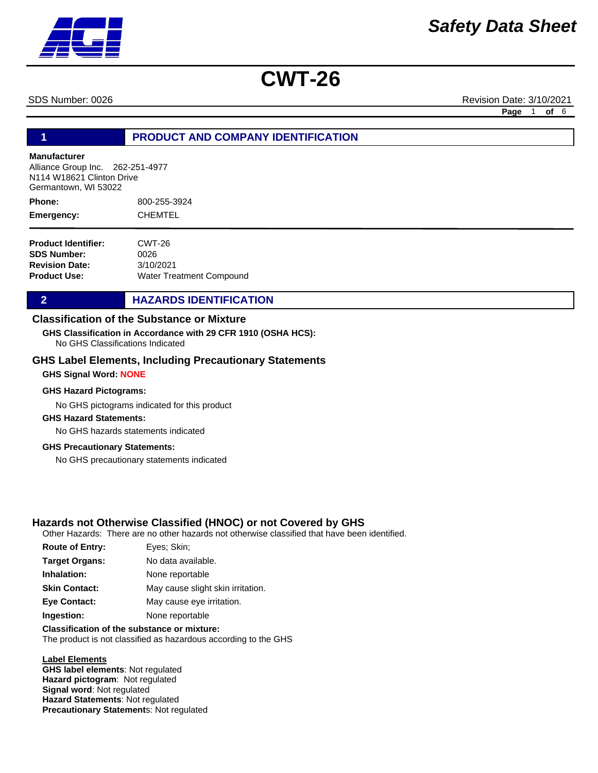SDS Number: 0026 Revision Date: 3/10/2021

**Page** 1 **of** 6

### **1 PRODUCT AND COMPANY IDENTIFICATION**

#### **Manufacturer**

Alliance Group Inc. 262-251-4977 N114 W18621 Clinton Drive Germantown, WI 53022

800-255-3924 CHEMTEL **Phone: Emergency:**

| <b>Product Identifier:</b> | CWT-26                          |
|----------------------------|---------------------------------|
| <b>SDS Number:</b>         | 0026                            |
| <b>Revision Date:</b>      | 3/10/2021                       |
| <b>Product Use:</b>        | <b>Water Treatment Compound</b> |

#### **2 HAZARDS IDENTIFICATION**

### **Classification of the Substance or Mixture**

No GHS Classifications Indicated **GHS Classification in Accordance with 29 CFR 1910 (OSHA HCS):**

#### **GHS Label Elements, Including Precautionary Statements**

#### **GHS Signal Word: NONE**

#### **GHS Hazard Pictograms:**

No GHS pictograms indicated for this product

#### **GHS Hazard Statements:**

No GHS hazards statements indicated

#### **GHS Precautionary Statements:**

No GHS precautionary statements indicated

#### **Hazards not Otherwise Classified (HNOC) or not Covered by GHS**

Other Hazards: There are no other hazards not otherwise classified that have been identified.

| <b>Route of Entry:</b> | Eyes; Skin;                       |
|------------------------|-----------------------------------|
| <b>Target Organs:</b>  | No data available.                |
| Inhalation:            | None reportable                   |
| <b>Skin Contact:</b>   | May cause slight skin irritation. |
| <b>Eye Contact:</b>    | May cause eye irritation.         |
| Ingestion:             | None reportable                   |
|                        |                                   |

### **Classification of the substance or mixture:**

The product is not classified as hazardous according to the GHS

#### **Label Elements**

**GHS label elements**: Not regulated **Hazard pictogram**: Not regulated **Signal word**: Not regulated **Hazard Statements**: Not regulated **Precautionary Statement**s: Not regulated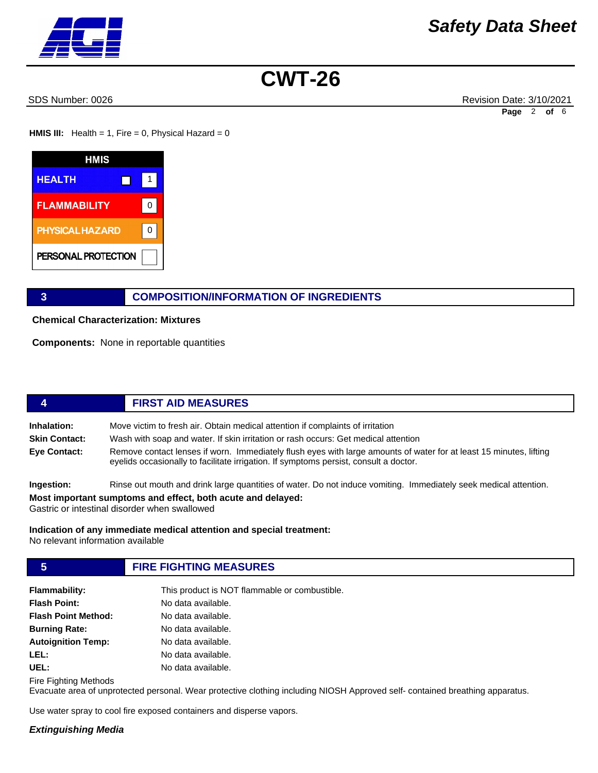SDS Number: 0026 Revision Date: 3/10/2021 **Page** 2 **of** 6

**HMIS III:** Health = 1, Fire = 0, Physical Hazard = 0



### **3 COMPOSITION/INFORMATION OF INGREDIENTS**

**Chemical Characterization: Mixtures** 

**Components:** None in reportable quantities

# **4 FIRST AID MEASURES**

**Inhalation:** Move victim to fresh air. Obtain medical attention if complaints of irritation **Skin Contact:** Wash with soap and water. If skin irritation or rash occurs: Get medical attention

**Eye Contact:** Remove contact lenses if worn. Immediately flush eyes with large amounts of water for at least 15 minutes, lifting eyelids occasionally to facilitate irrigation. If symptoms persist, consult a doctor.

**Ingestion:** Rinse out mouth and drink large quantities of water. Do not induce vomiting. Immediately seek medical attention.

**Most important sumptoms and effect, both acute and delayed:**

Gastric or intestinal disorder when swallowed

**Indication of any immediate medical attention and special treatment:** No relevant information available

## **5 FIRE FIGHTING MEASURES**

| <b>Flammability:</b>       | This product is NOT flammable or combustible. |
|----------------------------|-----------------------------------------------|
| <b>Flash Point:</b>        | No data available.                            |
| <b>Flash Point Method:</b> | No data available.                            |
| <b>Burning Rate:</b>       | No data available.                            |
| <b>Autoignition Temp:</b>  | No data available.                            |
| LEL:                       | No data available.                            |
| UEL:                       | No data available.                            |

Fire Fighting Methods

Evacuate area of unprotected personal. Wear protective clothing including NIOSH Approved self- contained breathing apparatus.

Use water spray to cool fire exposed containers and disperse vapors.

#### *Extinguishing Media*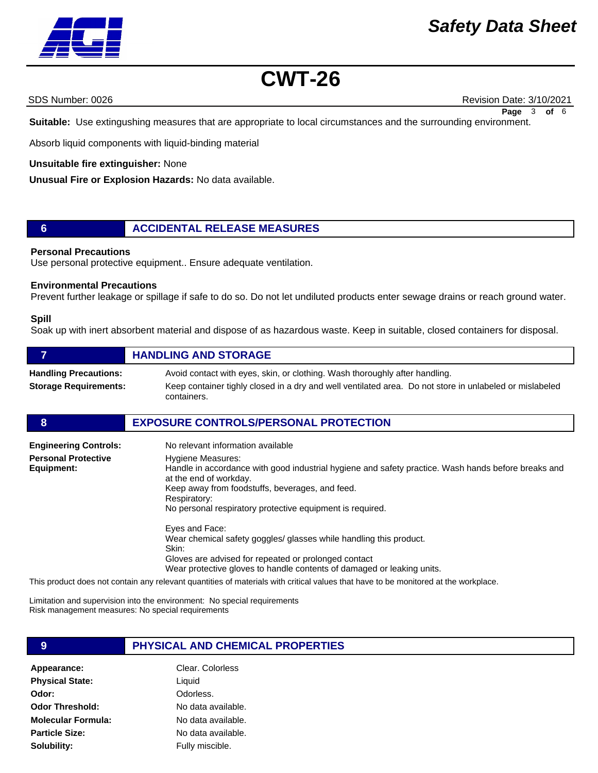# *Safety Data Sheet*



# **CWT-26**

SDS Number: 0026 Revision Date: 3/10/2021 **Page** 3 **of** 6

**Suitable:** Use extingushing measures that are appropriate to local circumstances and the surrounding environment.

Absorb liquid components with liquid-binding material

#### **Unsuitable fire extinguisher:** None

**Unusual Fire or Explosion Hazards:** No data available.

### **6 ACCIDENTAL RELEASE MEASURES**

#### **Personal Precautions**

Use personal protective equipment.. Ensure adequate ventilation.

#### **Environmental Precautions**

Prevent further leakage or spillage if safe to do so. Do not let undiluted products enter sewage drains or reach ground water.

#### **Spill**

Soak up with inert absorbent material and dispose of as hazardous waste. Keep in suitable, closed containers for disposal.

|                                                              | <b>HANDLING AND STORAGE</b>                                                                                                                                                                           |
|--------------------------------------------------------------|-------------------------------------------------------------------------------------------------------------------------------------------------------------------------------------------------------|
| <b>Handling Precautions:</b><br><b>Storage Requirements:</b> | Avoid contact with eyes, skin, or clothing. Wash thoroughly after handling.<br>Keep container tighly closed in a dry and well ventilated area. Do not store in unlabeled or mislabeled<br>containers. |

#### **8 EXPOSURE CONTROLS/PERSONAL PROTECTION**

| <b>Engineering Controls:</b>             | No relevant information available                                                                                                                                                                                                                                                         |
|------------------------------------------|-------------------------------------------------------------------------------------------------------------------------------------------------------------------------------------------------------------------------------------------------------------------------------------------|
| <b>Personal Protective</b><br>Equipment: | <b>Hygiene Measures:</b><br>Handle in accordance with good industrial hygiene and safety practice. Wash hands before breaks and<br>at the end of workday.<br>Keep away from foodstuffs, beverages, and feed.<br>Respiratory:<br>No personal respiratory protective equipment is required. |
|                                          | Eyes and Face:<br>Wear chemical safety goggles/ glasses while handling this product.<br>Skin:<br>Gloves are advised for repeated or prolonged contact<br>Wear protective gloves to handle contents of damaged or leaking units.                                                           |

This product does not contain any relevant quantities of materials with critical values that have to be monitored at the workplace.

Limitation and supervision into the environment: No special requirements Risk management measures: No special requirements

#### **9 PHYSICAL AND CHEMICAL PROPERTIES**

Appearance: Clear. Colorless **Physical State: Odor: Odor Threshold: Molecular Formula: Particle Size: Solubility:**

Liquid Odorless. No data available. No data available.

No data available.

Fully miscible.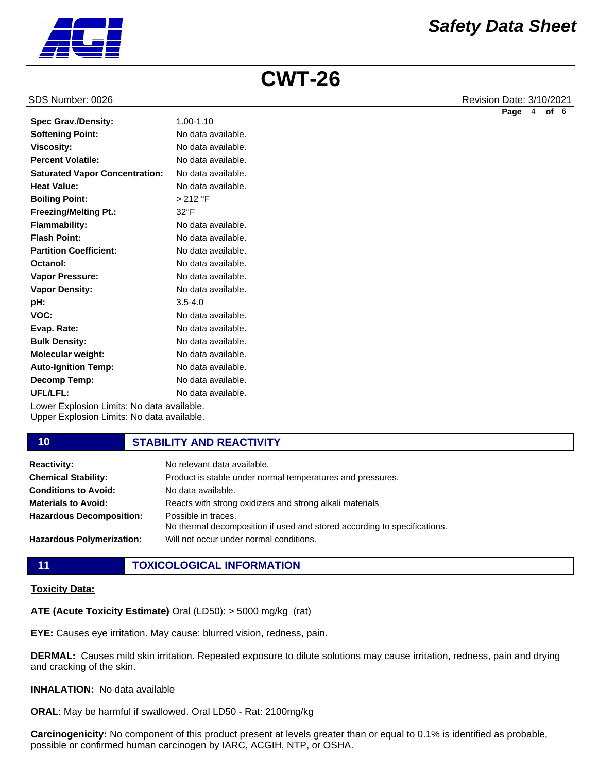

#### SDS Number: 0026 Revision Date: 3/10/2021

|                                       |                    | Page | 4 | of 6 |  |
|---------------------------------------|--------------------|------|---|------|--|
| <b>Spec Grav./Density:</b>            | 1.00-1.10          |      |   |      |  |
| <b>Softening Point:</b>               | No data available. |      |   |      |  |
| <b>Viscosity:</b>                     | No data available. |      |   |      |  |
| <b>Percent Volatile:</b>              | No data available. |      |   |      |  |
| <b>Saturated Vapor Concentration:</b> | No data available. |      |   |      |  |
| <b>Heat Value:</b>                    | No data available. |      |   |      |  |
| <b>Boiling Point:</b>                 | > 212 °F           |      |   |      |  |
| <b>Freezing/Melting Pt.:</b>          | $32^{\circ}F$      |      |   |      |  |
| <b>Flammability:</b>                  | No data available. |      |   |      |  |
| <b>Flash Point:</b>                   | No data available. |      |   |      |  |
| <b>Partition Coefficient:</b>         | No data available. |      |   |      |  |
| Octanol:                              | No data available. |      |   |      |  |
| <b>Vapor Pressure:</b>                | No data available. |      |   |      |  |
| <b>Vapor Density:</b>                 | No data available. |      |   |      |  |
| pH:                                   | $3.5 - 4.0$        |      |   |      |  |
| VOC:                                  | No data available. |      |   |      |  |
| Evap. Rate:                           | No data available. |      |   |      |  |
| <b>Bulk Density:</b>                  | No data available. |      |   |      |  |
| <b>Molecular weight:</b>              | No data available. |      |   |      |  |
| <b>Auto-Ignition Temp:</b>            | No data available. |      |   |      |  |

Lower Explosion Limits: No data available. Upper Explosion Limits: No data available.

#### **10 STABILITY AND REACTIVITY**

No data available. No data available.

| <b>Reactivity:</b>               | No relevant data available.                                                                     |
|----------------------------------|-------------------------------------------------------------------------------------------------|
| <b>Chemical Stability:</b>       | Product is stable under normal temperatures and pressures.                                      |
| <b>Conditions to Avoid:</b>      | No data available.                                                                              |
| <b>Materials to Avoid:</b>       | Reacts with strong oxidizers and strong alkali materials                                        |
| <b>Hazardous Decomposition:</b>  | Possible in traces.<br>No thermal decomposition if used and stored according to specifications. |
| <b>Hazardous Polymerization:</b> | Will not occur under normal conditions.                                                         |

**Decomp Temp: UFL/LFL:**

**11 TOXICOLOGICAL INFORMATION**

#### **Toxicity Data:**

**ATE (Acute Toxicity Estimate)** Oral (LD50): > 5000 mg/kg (rat)

**EYE:** Causes eye irritation. May cause: blurred vision, redness, pain.

**DERMAL:** Causes mild skin irritation. Repeated exposure to dilute solutions may cause irritation, redness, pain and drying and cracking of the skin.

#### **INHALATION:** No data available

**ORAL**: May be harmful if swallowed. Oral LD50 - Rat: 2100mg/kg

**Carcinogenicity:** No component of this product present at levels greater than or equal to 0.1% is identified as probable, possible or confirmed human carcinogen by IARC, ACGIH, NTP, or OSHA.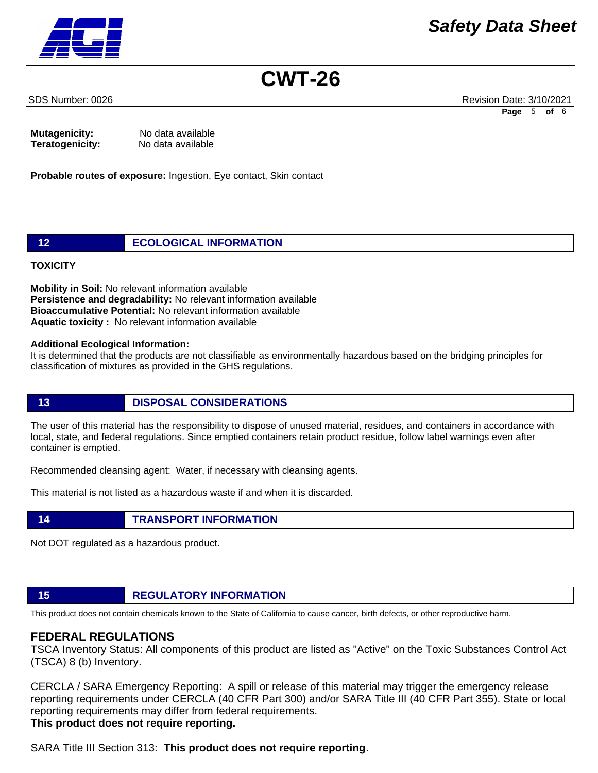SDS Number: 0026 Revision Date: 3/10/2021 **Page** 5 **of** 6

| Mutagenicity:   | No data available |
|-----------------|-------------------|
| Teratogenicity: | No data available |

**Probable routes of exposure:** Ingestion, Eye contact, Skin contact

### **12 ECOLOGICAL INFORMATION**

#### **TOXICITY**

**Mobility in Soil:** No relevant information available **Persistence and degradability:** No relevant information available **Bioaccumulative Potential:** No relevant information available **Aquatic toxicity :** No relevant information available

#### **Additional Ecological Information:**

It is determined that the products are not classifiable as environmentally hazardous based on the bridging principles for classification of mixtures as provided in the GHS regulations.

## **13 DISPOSAL CONSIDERATIONS**

The user of this material has the responsibility to dispose of unused material, residues, and containers in accordance with local, state, and federal regulations. Since emptied containers retain product residue, follow label warnings even after container is emptied.

Recommended cleansing agent: Water, if necessary with cleansing agents.

This material is not listed as a hazardous waste if and when it is discarded.

### **14 TRANSPORT INFORMATION**

Not DOT regulated as a hazardous product.

# **15 REGULATORY INFORMATION**

This product does not contain chemicals known to the State of California to cause cancer, birth defects, or other reproductive harm.

## **FEDERAL REGULATIONS**

TSCA Inventory Status: All components of this product are listed as "Active" on the Toxic Substances Control Act (TSCA) 8 (b) Inventory.

CERCLA / SARA Emergency Reporting: A spill or release of this material may trigger the emergency release reporting requirements under CERCLA (40 CFR Part 300) and/or SARA Title III (40 CFR Part 355). State or local reporting requirements may differ from federal requirements.

# **This product does not require reporting.**

SARA Title III Section 313: **This product does not require reporting**.